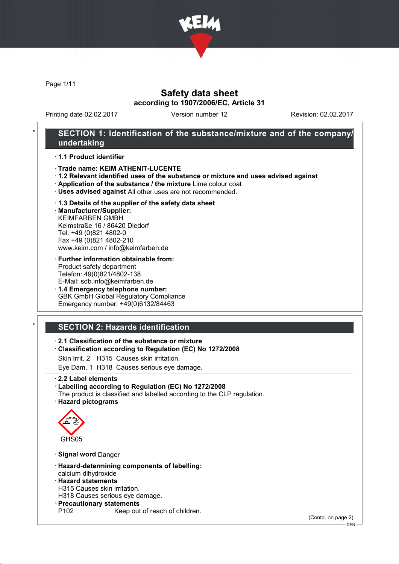

Page 1/11

## Safety data sheet according to 1907/2006/EC, Article 31

Printing date 02.02.2017 Version number 12 Revision: 02.02.2017

## SECTION 1: Identification of the substance/mixture and of the company/ undertaking

· 1.1 Product identifier

- · Trade name: KEIM ATHENIT-LUCENTE
- · 1.2 Relevant identified uses of the substance or mixture and uses advised against
- · Application of the substance / the mixture Lime colour coat
- · Uses advised against All other uses are not recommended.

#### · 1.3 Details of the supplier of the safety data sheet

· Manufacturer/Supplier: KEIMFARBEN GMBH Keimstraße 16 / 86420 Diedorf Tel. +49 (0)821 4802-0 Fax +49 (0)821 4802-210 www.keim.com / info@keimfarben.de

#### · Further information obtainable from: Product safety department Telefon: 49(0)821/4802-138 E-Mail: sdb.info@keimfarben.de

· 1.4 Emergency telephone number: GBK GmbH Global Regulatory Compliance Emergency number: +49(0)6132/84463

## **SECTION 2: Hazards identification**

### · 2.1 Classification of the substance or mixture

· Classification according to Regulation (EC) No 1272/2008

Skin Irrit. 2 H315 Causes skin irritation.

Eye Dam. 1 H318 Causes serious eye damage.

· 2.2 Label elements

### · Labelling according to Regulation (EC) No 1272/2008

The product is classified and labelled according to the CLP regulation. · Hazard pictograms



· Signal word Danger

- · Hazard-determining components of labelling: calcium dihydroxide
- · Hazard statements
- H315 Causes skin irritation.
- H318 Causes serious eye damage.
- · Precautionary statements
	- Keep out of reach of children.

(Contd. on page 2)

DEN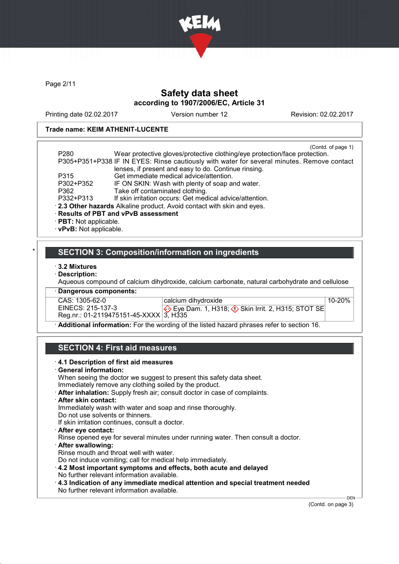

Page 2/11

## Safety data sheet according to 1907/2006/EC, Article 31

Printing date 02.02.2017 Version number 12 Revision: 02.02.2017

### Trade name: KEIM ATHENIT-LUCENTE

| P <sub>280</sub>        | (Contd. of page 1)<br>Wear protective gloves/protective clothing/eye protection/face protection. |
|-------------------------|--------------------------------------------------------------------------------------------------|
|                         | P305+P351+P338 IF IN EYES: Rinse cautiously with water for several minutes. Remove contact       |
|                         | lenses, if present and easy to do. Continue rinsing.                                             |
| P315                    | Get immediate medical advice/attention.                                                          |
| P302+P352               | IF ON SKIN: Wash with plenty of soap and water.                                                  |
| P362                    | Take off contaminated clothing.                                                                  |
| P332+P313               | If skin irritation occurs: Get medical advice/attention.                                         |
|                         | . 2.3 Other hazards Alkaline product. Avoid contact with skin and eyes.                          |
|                         | · Results of PBT and vPvB assessment                                                             |
| · PBT: Not applicable.  |                                                                                                  |
| · vPvB: Not applicable. |                                                                                                  |

### SECTION 3: Composition/information on ingredients

- · 3.2 Mixtures
- · Description:

Aqueous compound of calcium dihydroxide, calcium carbonate, natural carbohydrate and cellulose

· Dangerous components:

CAS: 1305-62-0<br>EINECS: 215-137-3 EINECS: 215-137-3 Reg.nr.: 01-2119475151-45-XXXX calcium dihydroxide Eye Dam. 1, H318;  $\Diamond$  Skin Irrit. 2, H315; STOT SE 3, H335 10-20%

· Additional information: For the wording of the listed hazard phrases refer to section 16.

# SECTION 4: First aid measures

| When seeing the doctor we suggest to present this safety data sheet.<br>Immediately remove any clothing soiled by the product. |
|--------------------------------------------------------------------------------------------------------------------------------|
| After inhalation: Supply fresh air; consult doctor in case of complaints.                                                      |
| $\cdot$ After skin contact:                                                                                                    |
| Immediately wash with water and soap and rinse thoroughly.                                                                     |
| Do not use solvents or thinners.                                                                                               |
| If skin irritation continues, consult a doctor.                                                                                |
| · After eye contact:                                                                                                           |
| Rinse opened eye for several minutes under running water. Then consult a doctor.                                               |
| · After swallowing:                                                                                                            |
| Rinse mouth and throat well with water.                                                                                        |
| Do not induce vomiting; call for medical help immediately.                                                                     |
| 4.2 Most important symptoms and effects, both acute and delayed                                                                |
| No further relevant information available.                                                                                     |
| $\cdot$ 4.3 Indication of any immediate medical attention and special treatment needed                                         |
| No further relevant information available.                                                                                     |

(Contd. on page 3)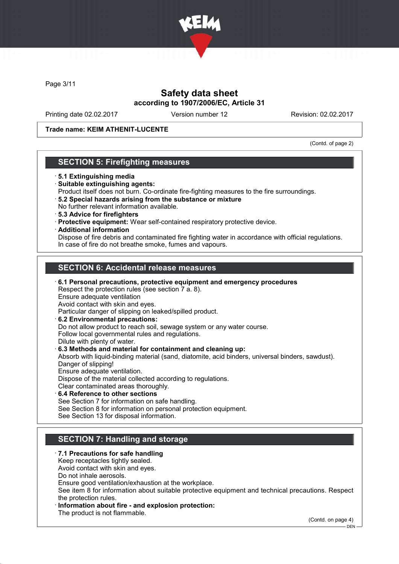

Page 3/11

## Safety data sheet according to 1907/2006/EC, Article 31

Printing date 02.02.2017 Version number 12 Revision: 02.02.2017

Trade name: KEIM ATHENIT-LUCENTE

(Contd. of page 2)

## SECTION 5: Firefighting measures

- · 5.1 Extinguishing media
- · Suitable extinguishing agents:
- Product itself does not burn. Co-ordinate fire-fighting measures to the fire surroundings.
- · 5.2 Special hazards arising from the substance or mixture No further relevant information available.
- · 5.3 Advice for firefighters
- · Protective equipment: Wear self-contained respiratory protective device.
- · Additional information

Dispose of fire debris and contaminated fire fighting water in accordance with official regulations. In case of fire do not breathe smoke, fumes and vapours.

## SECTION 6: Accidental release measures

· 6.1 Personal precautions, protective equipment and emergency procedures Respect the protection rules (see section 7 a. 8). Ensure adequate ventilation Avoid contact with skin and eyes. Particular danger of slipping on leaked/spilled product. · 6.2 Environmental precautions: Do not allow product to reach soil, sewage system or any water course. Follow local governmental rules and regulations. Dilute with plenty of water. · 6.3 Methods and material for containment and cleaning up: Absorb with liquid-binding material (sand, diatomite, acid binders, universal binders, sawdust). Danger of slipping! Ensure adequate ventilation. Dispose of the material collected according to regulations. Clear contaminated areas thoroughly. 6.4 Reference to other sections See Section 7 for information on safe handling.

See Section 8 for information on personal protection equipment. See Section 13 for disposal information.

## SECTION 7: Handling and storage

#### · 7.1 Precautions for safe handling

Keep receptacles tightly sealed.

Avoid contact with skin and eyes.

Do not inhale aerosols.

Ensure good ventilation/exhaustion at the workplace.

See item 8 for information about suitable protective equipment and technical precautions. Respect the protection rules.

Information about fire - and explosion protection:

The product is not flammable.

(Contd. on page 4)

 $-$  DEN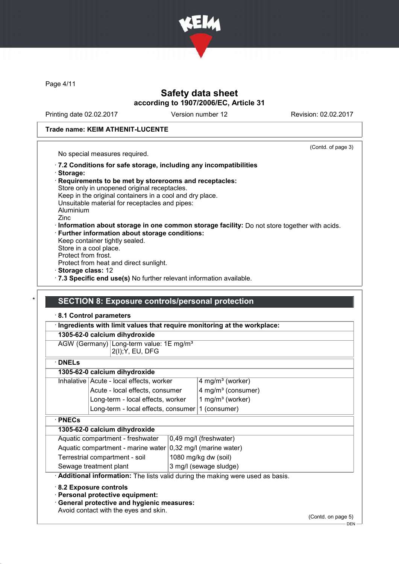

Page 4/11

## Safety data sheet according to 1907/2006/EC, Article 31

Printing date 02.02.2017 Version number 12 Revision: 02.02.2017

#### Trade name: KEIM ATHENIT-LUCENTE

(Contd. of page 3) No special measures required. · 7.2 Conditions for safe storage, including any incompatibilities · Storage: · Requirements to be met by storerooms and receptacles: Store only in unopened original receptacles. Keep in the original containers in a cool and dry place. Unsuitable material for receptacles and pipes: Aluminium Zinc · Information about storage in one common storage facility: Do not store together with acids. Further information about storage conditions: Keep container tightly sealed. Store in a cool place. Protect from frost. Protect from heat and direct sunlight. · Storage class: 12 · 7.3 Specific end use(s) No further relevant information available. **SECTION 8: Exposure controls/personal protection** 

## · 8.1 Control parameters · Ingredients with limit values that require monitoring at the workplace: 1305-62-0 calcium dihydroxide AGW (Germany) Long-term value: 1E mg/m<sup>3</sup> 2(I);Y, EU, DFG · DNELs 1305-62-0 calcium dihydroxide Inhalative Acute - local effects, worker  $\frac{14 \text{ rad/m}^3 \text{ (worker)}}{4 \text{ rad/m}^3 \text{ (worker)}}$ Acute - local effects, consumer  $|4 \text{ mg/m}^3$  (consumer) Long-term - local effects, worker  $1$  mg/m<sup>3</sup> (worker) Long-term - local effects, consumer  $1$  (consumer) · PNECs 1305-62-0 calcium dihydroxide Aquatic compartment - freshwater | 0,49 mg/l (freshwater) Aquatic compartment - marine water  $0,32$  mg/l (marine water) Terrestrial compartment - soil 1080 mg/kg dw (soil) Sewage treatment plant  $\vert$  3 mg/l (sewage sludge) Additional information: The lists valid during the making were used as basis. · 8.2 Exposure controls · Personal protective equipment:

· General protective and hygienic measures:

Avoid contact with the eyes and skin.

(Contd. on page 5)

 $-$  DEN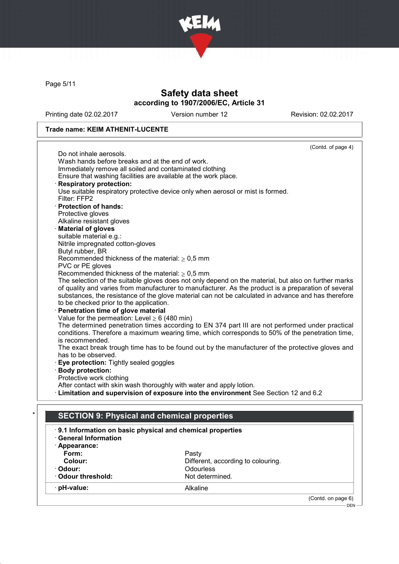

Page 5/11

# Safety data sheet according to 1907/2006/EC, Article 31

Printing date 02.02.2017 Version number 12 Revision: 02.02.2017

### Trade name: KEIM ATHENIT-LUCENTE

|                                                         |                                                                                                 | (Contd. of page 4)                                                                                   |  |
|---------------------------------------------------------|-------------------------------------------------------------------------------------------------|------------------------------------------------------------------------------------------------------|--|
|                                                         | Do not inhale aerosols.                                                                         |                                                                                                      |  |
|                                                         | Wash hands before breaks and at the end of work.                                                |                                                                                                      |  |
| Immediately remove all soiled and contaminated clothing |                                                                                                 |                                                                                                      |  |
|                                                         | Ensure that washing facilities are available at the work place.                                 |                                                                                                      |  |
|                                                         | <b>Respiratory protection:</b>                                                                  |                                                                                                      |  |
|                                                         |                                                                                                 | Use suitable respiratory protective device only when aerosol or mist is formed.                      |  |
|                                                         | Filter: FFP2                                                                                    |                                                                                                      |  |
|                                                         | · Protection of hands:                                                                          |                                                                                                      |  |
|                                                         | Protective gloves                                                                               |                                                                                                      |  |
|                                                         | Alkaline resistant gloves                                                                       |                                                                                                      |  |
|                                                         | <b>Material of gloves</b>                                                                       |                                                                                                      |  |
|                                                         | suitable material e.g.:                                                                         |                                                                                                      |  |
|                                                         | Nitrile impregnated cotton-gloves                                                               |                                                                                                      |  |
|                                                         | Butyl rubber, BR                                                                                |                                                                                                      |  |
|                                                         | Recommended thickness of the material: $\geq 0.5$ mm<br>PVC or PE gloves                        |                                                                                                      |  |
|                                                         | Recommended thickness of the material: $\geq 0.5$ mm                                            |                                                                                                      |  |
|                                                         |                                                                                                 | The selection of the suitable gloves does not only depend on the material, but also on further marks |  |
|                                                         |                                                                                                 | of quality and varies from manufacturer to manufacturer. As the product is a preparation of several  |  |
|                                                         |                                                                                                 | substances, the resistance of the glove material can not be calculated in advance and has therefore  |  |
|                                                         | to be checked prior to the application.                                                         |                                                                                                      |  |
|                                                         | Penetration time of glove material                                                              |                                                                                                      |  |
|                                                         | Value for the permeation: Level $\geq 6$ (480 min)                                              |                                                                                                      |  |
|                                                         |                                                                                                 | The determined penetration times according to EN 374 part III are not performed under practical      |  |
|                                                         | conditions. Therefore a maximum wearing time, which corresponds to 50% of the penetration time, |                                                                                                      |  |
|                                                         | is recommended.                                                                                 |                                                                                                      |  |
|                                                         |                                                                                                 | The exact break trough time has to be found out by the manufacturer of the protective gloves and     |  |
|                                                         | has to be observed.                                                                             |                                                                                                      |  |
|                                                         | Eye protection: Tightly sealed goggles                                                          |                                                                                                      |  |
|                                                         | <b>Body protection:</b>                                                                         |                                                                                                      |  |
|                                                         | Protective work clothing                                                                        |                                                                                                      |  |
|                                                         | After contact with skin wash thoroughly with water and apply lotion.                            |                                                                                                      |  |
|                                                         |                                                                                                 | · Limitation and supervision of exposure into the environment See Section 12 and 6.2                 |  |
|                                                         |                                                                                                 |                                                                                                      |  |
| *                                                       |                                                                                                 |                                                                                                      |  |
|                                                         | <b>SECTION 9: Physical and chemical properties</b>                                              |                                                                                                      |  |
|                                                         | 9.1 Information on basic physical and chemical properties                                       |                                                                                                      |  |
|                                                         | <b>General Information</b>                                                                      |                                                                                                      |  |
|                                                         | · Appearance:                                                                                   |                                                                                                      |  |
|                                                         | Form:                                                                                           | Pasty                                                                                                |  |
|                                                         | Colour:                                                                                         | Different, according to colouring.                                                                   |  |
|                                                         | · Odour:                                                                                        | Odourless                                                                                            |  |
|                                                         | Odour threshold:                                                                                | Not determined.                                                                                      |  |
|                                                         |                                                                                                 |                                                                                                      |  |
|                                                         | pH-value:                                                                                       | Alkaline                                                                                             |  |
|                                                         |                                                                                                 | (Contd. on page 6)                                                                                   |  |
|                                                         |                                                                                                 | DEN-                                                                                                 |  |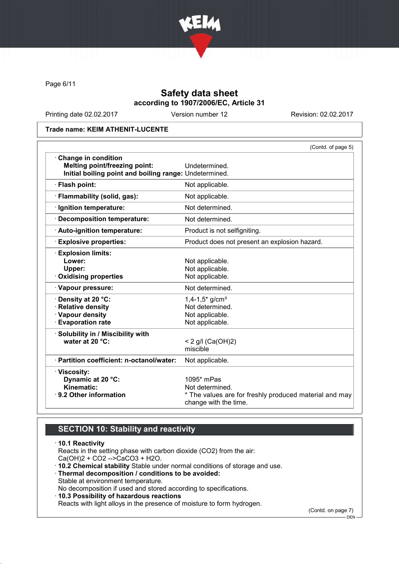

Page 6/11

## Safety data sheet according to 1907/2006/EC, Article 31

Printing date 02.02.2017 Version number 12 Revision: 02.02.2017

Trade name: KEIM ATHENIT-LUCENTE

|                                                                                                                       | (Contd. of page 5)                                                                                                 |
|-----------------------------------------------------------------------------------------------------------------------|--------------------------------------------------------------------------------------------------------------------|
| Change in condition<br><b>Melting point/freezing point:</b><br>Initial boiling point and boiling range: Undetermined. | Undetermined.                                                                                                      |
| · Flash point:                                                                                                        | Not applicable.                                                                                                    |
| · Flammability (solid, gas):                                                                                          | Not applicable.                                                                                                    |
| · Ignition temperature:                                                                                               | Not determined.                                                                                                    |
| <b>Decomposition temperature:</b>                                                                                     | Not determined.                                                                                                    |
| · Auto-ignition temperature:                                                                                          | Product is not selfigniting.                                                                                       |
| <b>Explosive properties:</b>                                                                                          | Product does not present an explosion hazard.                                                                      |
| <b>Explosion limits:</b><br>Lower:<br>Upper:<br>Oxidising properties                                                  | Not applicable.<br>Not applicable.<br>Not applicable.                                                              |
| · Vapour pressure:                                                                                                    | Not determined.                                                                                                    |
| · Density at 20 °C:<br>· Relative density<br>· Vapour density<br><b>Evaporation rate</b>                              | $1,4-1,5$ * g/cm <sup>3</sup><br>Not determined.<br>Not applicable.<br>Not applicable.                             |
| · Solubility in / Miscibility with<br>water at 20 °C:                                                                 | < 2 g/l (Ca(OH)2)<br>miscible                                                                                      |
| · Partition coefficient: n-octanol/water:                                                                             | Not applicable.                                                                                                    |
| · Viscosity:<br>Dynamic at 20 °C:<br>Kinematic:<br>⋅ 9.2 Other information                                            | $1095*$ mPas<br>Not determined.<br>* The values are for freshly produced material and may<br>change with the time. |

# SECTION 10: Stability and reactivity

· 10.1 Reactivity Reacts in the setting phase with carbon dioxide (CO2) from the air: Ca(OH)2 + CO2 -->CaCO3 + H2O. · 10.2 Chemical stability Stable under normal conditions of storage and use. · Thermal decomposition / conditions to be avoided: Stable at environment temperature. No decomposition if used and stored according to specifications. · 10.3 Possibility of hazardous reactions Reacts with light alloys in the presence of moisture to form hydrogen. (Contd. on page 7)

DEN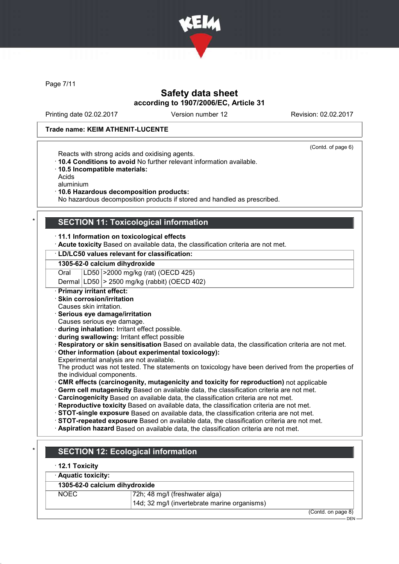

Page 7/11

## Safety data sheet according to 1907/2006/EC, Article 31

Printing date 02.02.2017 Version number 12 Revision: 02.02.2017

(Contd. of page 6)

### Trade name: KEIM ATHENIT-LUCENTE

Reacts with strong acids and oxidising agents.

- · 10.4 Conditions to avoid No further relevant information available.
- · 10.5 Incompatible materials:

Acids

aluminium

· 10.6 Hazardous decomposition products:

No hazardous decomposition products if stored and handled as prescribed.

### SECTION 11: Toxicological information

· 11.1 Information on toxicological effects

· Acute toxicity Based on available data, the classification criteria are not met.

### · LD/LC50 values relevant for classification:

### 1305-62-0 calcium dihydroxide

Oral LD50 >2000 mg/kg (rat) (OECD 425)

Dermal LD50 > 2500 mg/kg (rabbit) (OECD 402)

#### · Primary irritant effect:

- · Skin corrosion/irritation
- Causes skin irritation.

#### · Serious eye damage/irritation

Causes serious eye damage.

- · during inhalation: Irritant effect possible.
- · during swallowing: Irritant effect possible
- · Respiratory or skin sensitisation Based on available data, the classification criteria are not met. · Other information (about experimental toxicology):
- Experimental analysis are not available.

The product was not tested. The statements on toxicology have been derived from the properties of the individual components.

- · CMR effects (carcinogenity, mutagenicity and toxicity for reproduction) not applicable
- · Germ cell mutagenicity Based on available data, the classification criteria are not met.
- Carcinogenicity Based on available data, the classification criteria are not met.
- · Reproductive toxicity Based on available data, the classification criteria are not met.
- · STOT-single exposure Based on available data, the classification criteria are not met.
- · STOT-repeated exposure Based on available data, the classification criteria are not met.
- · Aspiration hazard Based on available data, the classification criteria are not met.

# **SECTION 12: Ecological information**

· 12.1 Toxicity

| · Aquatic toxicity: |                                              |                    |  |
|---------------------|----------------------------------------------|--------------------|--|
|                     | 1305-62-0 calcium dihydroxide                |                    |  |
| NOEC.               | 72h; 48 mg/l (freshwater alga)               |                    |  |
|                     | 14d; 32 mg/l (invertebrate marine organisms) |                    |  |
|                     |                                              | (Contd. on page 8) |  |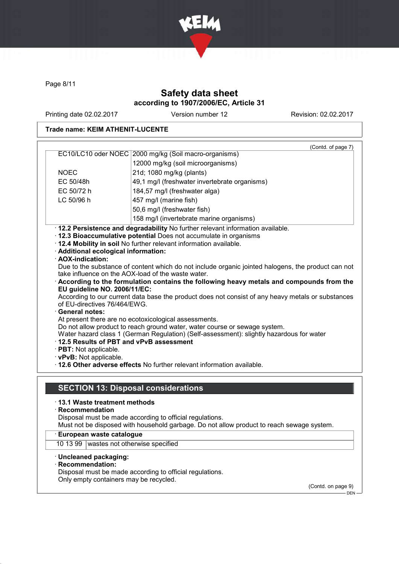

Page 8/11

# Safety data sheet according to 1907/2006/EC, Article 31

Printing date 02.02.2017 Version number 12 Revision: 02.02.2017

## Trade name: KEIM ATHENIT-LUCENTE

| EC10/LC10 oder NOEC 2000 mg/kg (Soil macro-organisms)<br>12000 mg/kg (soil microorganisms)<br><b>NOEC</b><br>21d; 1080 mg/kg (plants)<br>EC 50/48h<br>49,1 mg/l (freshwater invertebrate organisms)<br>EC 50/72 h<br>184,57 mg/l (freshwater alga)<br>LC 50/96 h<br>457 mg/l (marine fish)<br>50,6 mg/l (freshwater fish)<br>158 mg/l (invertebrate marine organisms)<br>· 12.2 Persistence and degradability No further relevant information available.<br>· 12.3 Bioaccumulative potential Does not accumulate in organisms<br>. 12.4 Mobility in soil No further relevant information available.<br>· Additional ecological information:<br>· AOX-indication:<br>Due to the substance of content which do not include organic jointed halogens, the product can not<br>take influence on the AOX-load of the waste water.<br>According to the formulation contains the following heavy metals and compounds from the<br>EU guideline NO. 2006/11/EC:<br>of EU-directives 76/464/EWG.<br><b>General notes:</b><br>At present there are no ecotoxicological assessments.<br>Do not allow product to reach ground water, water course or sewage system.<br>Water hazard class 1 (German Regulation) (Self-assessment): slightly hazardous for water<br>12.5 Results of PBT and vPvB assessment<br>· PBT: Not applicable.<br>· vPvB: Not applicable.<br>. 12.6 Other adverse effects No further relevant information available.<br><b>SECTION 13: Disposal considerations</b><br>⋅13.1 Waste treatment methods<br>Disposal must be made according to official regulations.<br>Must not be disposed with household garbage. Do not allow product to reach sewage system.<br>· European waste catalogue<br>10 13 99   wastes not otherwise specified<br>· Uncleaned packaging:<br>Disposal must be made according to official regulations.<br>Only empty containers may be recycled.<br>(Contd. on page 9) |                                                                                                   | (Contd. of page 7) |  |
|---------------------------------------------------------------------------------------------------------------------------------------------------------------------------------------------------------------------------------------------------------------------------------------------------------------------------------------------------------------------------------------------------------------------------------------------------------------------------------------------------------------------------------------------------------------------------------------------------------------------------------------------------------------------------------------------------------------------------------------------------------------------------------------------------------------------------------------------------------------------------------------------------------------------------------------------------------------------------------------------------------------------------------------------------------------------------------------------------------------------------------------------------------------------------------------------------------------------------------------------------------------------------------------------------------------------------------------------------------------------------------------------------------------------------------------------------------------------------------------------------------------------------------------------------------------------------------------------------------------------------------------------------------------------------------------------------------------------------------------------------------------------------------------------------------------------------------------------------------------------------------------------------------|---------------------------------------------------------------------------------------------------|--------------------|--|
|                                                                                                                                                                                                                                                                                                                                                                                                                                                                                                                                                                                                                                                                                                                                                                                                                                                                                                                                                                                                                                                                                                                                                                                                                                                                                                                                                                                                                                                                                                                                                                                                                                                                                                                                                                                                                                                                                                         |                                                                                                   |                    |  |
|                                                                                                                                                                                                                                                                                                                                                                                                                                                                                                                                                                                                                                                                                                                                                                                                                                                                                                                                                                                                                                                                                                                                                                                                                                                                                                                                                                                                                                                                                                                                                                                                                                                                                                                                                                                                                                                                                                         |                                                                                                   |                    |  |
|                                                                                                                                                                                                                                                                                                                                                                                                                                                                                                                                                                                                                                                                                                                                                                                                                                                                                                                                                                                                                                                                                                                                                                                                                                                                                                                                                                                                                                                                                                                                                                                                                                                                                                                                                                                                                                                                                                         |                                                                                                   |                    |  |
|                                                                                                                                                                                                                                                                                                                                                                                                                                                                                                                                                                                                                                                                                                                                                                                                                                                                                                                                                                                                                                                                                                                                                                                                                                                                                                                                                                                                                                                                                                                                                                                                                                                                                                                                                                                                                                                                                                         |                                                                                                   |                    |  |
|                                                                                                                                                                                                                                                                                                                                                                                                                                                                                                                                                                                                                                                                                                                                                                                                                                                                                                                                                                                                                                                                                                                                                                                                                                                                                                                                                                                                                                                                                                                                                                                                                                                                                                                                                                                                                                                                                                         |                                                                                                   |                    |  |
|                                                                                                                                                                                                                                                                                                                                                                                                                                                                                                                                                                                                                                                                                                                                                                                                                                                                                                                                                                                                                                                                                                                                                                                                                                                                                                                                                                                                                                                                                                                                                                                                                                                                                                                                                                                                                                                                                                         |                                                                                                   |                    |  |
|                                                                                                                                                                                                                                                                                                                                                                                                                                                                                                                                                                                                                                                                                                                                                                                                                                                                                                                                                                                                                                                                                                                                                                                                                                                                                                                                                                                                                                                                                                                                                                                                                                                                                                                                                                                                                                                                                                         |                                                                                                   |                    |  |
|                                                                                                                                                                                                                                                                                                                                                                                                                                                                                                                                                                                                                                                                                                                                                                                                                                                                                                                                                                                                                                                                                                                                                                                                                                                                                                                                                                                                                                                                                                                                                                                                                                                                                                                                                                                                                                                                                                         |                                                                                                   |                    |  |
|                                                                                                                                                                                                                                                                                                                                                                                                                                                                                                                                                                                                                                                                                                                                                                                                                                                                                                                                                                                                                                                                                                                                                                                                                                                                                                                                                                                                                                                                                                                                                                                                                                                                                                                                                                                                                                                                                                         |                                                                                                   |                    |  |
|                                                                                                                                                                                                                                                                                                                                                                                                                                                                                                                                                                                                                                                                                                                                                                                                                                                                                                                                                                                                                                                                                                                                                                                                                                                                                                                                                                                                                                                                                                                                                                                                                                                                                                                                                                                                                                                                                                         |                                                                                                   |                    |  |
|                                                                                                                                                                                                                                                                                                                                                                                                                                                                                                                                                                                                                                                                                                                                                                                                                                                                                                                                                                                                                                                                                                                                                                                                                                                                                                                                                                                                                                                                                                                                                                                                                                                                                                                                                                                                                                                                                                         |                                                                                                   |                    |  |
|                                                                                                                                                                                                                                                                                                                                                                                                                                                                                                                                                                                                                                                                                                                                                                                                                                                                                                                                                                                                                                                                                                                                                                                                                                                                                                                                                                                                                                                                                                                                                                                                                                                                                                                                                                                                                                                                                                         |                                                                                                   |                    |  |
|                                                                                                                                                                                                                                                                                                                                                                                                                                                                                                                                                                                                                                                                                                                                                                                                                                                                                                                                                                                                                                                                                                                                                                                                                                                                                                                                                                                                                                                                                                                                                                                                                                                                                                                                                                                                                                                                                                         |                                                                                                   |                    |  |
|                                                                                                                                                                                                                                                                                                                                                                                                                                                                                                                                                                                                                                                                                                                                                                                                                                                                                                                                                                                                                                                                                                                                                                                                                                                                                                                                                                                                                                                                                                                                                                                                                                                                                                                                                                                                                                                                                                         |                                                                                                   |                    |  |
|                                                                                                                                                                                                                                                                                                                                                                                                                                                                                                                                                                                                                                                                                                                                                                                                                                                                                                                                                                                                                                                                                                                                                                                                                                                                                                                                                                                                                                                                                                                                                                                                                                                                                                                                                                                                                                                                                                         |                                                                                                   |                    |  |
|                                                                                                                                                                                                                                                                                                                                                                                                                                                                                                                                                                                                                                                                                                                                                                                                                                                                                                                                                                                                                                                                                                                                                                                                                                                                                                                                                                                                                                                                                                                                                                                                                                                                                                                                                                                                                                                                                                         |                                                                                                   |                    |  |
|                                                                                                                                                                                                                                                                                                                                                                                                                                                                                                                                                                                                                                                                                                                                                                                                                                                                                                                                                                                                                                                                                                                                                                                                                                                                                                                                                                                                                                                                                                                                                                                                                                                                                                                                                                                                                                                                                                         | According to our current data base the product does not consist of any heavy metals or substances |                    |  |
|                                                                                                                                                                                                                                                                                                                                                                                                                                                                                                                                                                                                                                                                                                                                                                                                                                                                                                                                                                                                                                                                                                                                                                                                                                                                                                                                                                                                                                                                                                                                                                                                                                                                                                                                                                                                                                                                                                         |                                                                                                   |                    |  |
|                                                                                                                                                                                                                                                                                                                                                                                                                                                                                                                                                                                                                                                                                                                                                                                                                                                                                                                                                                                                                                                                                                                                                                                                                                                                                                                                                                                                                                                                                                                                                                                                                                                                                                                                                                                                                                                                                                         |                                                                                                   |                    |  |
|                                                                                                                                                                                                                                                                                                                                                                                                                                                                                                                                                                                                                                                                                                                                                                                                                                                                                                                                                                                                                                                                                                                                                                                                                                                                                                                                                                                                                                                                                                                                                                                                                                                                                                                                                                                                                                                                                                         |                                                                                                   |                    |  |
|                                                                                                                                                                                                                                                                                                                                                                                                                                                                                                                                                                                                                                                                                                                                                                                                                                                                                                                                                                                                                                                                                                                                                                                                                                                                                                                                                                                                                                                                                                                                                                                                                                                                                                                                                                                                                                                                                                         |                                                                                                   |                    |  |
|                                                                                                                                                                                                                                                                                                                                                                                                                                                                                                                                                                                                                                                                                                                                                                                                                                                                                                                                                                                                                                                                                                                                                                                                                                                                                                                                                                                                                                                                                                                                                                                                                                                                                                                                                                                                                                                                                                         |                                                                                                   |                    |  |
|                                                                                                                                                                                                                                                                                                                                                                                                                                                                                                                                                                                                                                                                                                                                                                                                                                                                                                                                                                                                                                                                                                                                                                                                                                                                                                                                                                                                                                                                                                                                                                                                                                                                                                                                                                                                                                                                                                         |                                                                                                   |                    |  |
|                                                                                                                                                                                                                                                                                                                                                                                                                                                                                                                                                                                                                                                                                                                                                                                                                                                                                                                                                                                                                                                                                                                                                                                                                                                                                                                                                                                                                                                                                                                                                                                                                                                                                                                                                                                                                                                                                                         |                                                                                                   |                    |  |
|                                                                                                                                                                                                                                                                                                                                                                                                                                                                                                                                                                                                                                                                                                                                                                                                                                                                                                                                                                                                                                                                                                                                                                                                                                                                                                                                                                                                                                                                                                                                                                                                                                                                                                                                                                                                                                                                                                         |                                                                                                   |                    |  |
|                                                                                                                                                                                                                                                                                                                                                                                                                                                                                                                                                                                                                                                                                                                                                                                                                                                                                                                                                                                                                                                                                                                                                                                                                                                                                                                                                                                                                                                                                                                                                                                                                                                                                                                                                                                                                                                                                                         |                                                                                                   |                    |  |
|                                                                                                                                                                                                                                                                                                                                                                                                                                                                                                                                                                                                                                                                                                                                                                                                                                                                                                                                                                                                                                                                                                                                                                                                                                                                                                                                                                                                                                                                                                                                                                                                                                                                                                                                                                                                                                                                                                         |                                                                                                   |                    |  |
|                                                                                                                                                                                                                                                                                                                                                                                                                                                                                                                                                                                                                                                                                                                                                                                                                                                                                                                                                                                                                                                                                                                                                                                                                                                                                                                                                                                                                                                                                                                                                                                                                                                                                                                                                                                                                                                                                                         |                                                                                                   |                    |  |
|                                                                                                                                                                                                                                                                                                                                                                                                                                                                                                                                                                                                                                                                                                                                                                                                                                                                                                                                                                                                                                                                                                                                                                                                                                                                                                                                                                                                                                                                                                                                                                                                                                                                                                                                                                                                                                                                                                         | $\cdot$ Recommendation                                                                            |                    |  |
|                                                                                                                                                                                                                                                                                                                                                                                                                                                                                                                                                                                                                                                                                                                                                                                                                                                                                                                                                                                                                                                                                                                                                                                                                                                                                                                                                                                                                                                                                                                                                                                                                                                                                                                                                                                                                                                                                                         |                                                                                                   |                    |  |
|                                                                                                                                                                                                                                                                                                                                                                                                                                                                                                                                                                                                                                                                                                                                                                                                                                                                                                                                                                                                                                                                                                                                                                                                                                                                                                                                                                                                                                                                                                                                                                                                                                                                                                                                                                                                                                                                                                         |                                                                                                   |                    |  |
|                                                                                                                                                                                                                                                                                                                                                                                                                                                                                                                                                                                                                                                                                                                                                                                                                                                                                                                                                                                                                                                                                                                                                                                                                                                                                                                                                                                                                                                                                                                                                                                                                                                                                                                                                                                                                                                                                                         |                                                                                                   |                    |  |
|                                                                                                                                                                                                                                                                                                                                                                                                                                                                                                                                                                                                                                                                                                                                                                                                                                                                                                                                                                                                                                                                                                                                                                                                                                                                                                                                                                                                                                                                                                                                                                                                                                                                                                                                                                                                                                                                                                         |                                                                                                   |                    |  |
|                                                                                                                                                                                                                                                                                                                                                                                                                                                                                                                                                                                                                                                                                                                                                                                                                                                                                                                                                                                                                                                                                                                                                                                                                                                                                                                                                                                                                                                                                                                                                                                                                                                                                                                                                                                                                                                                                                         |                                                                                                   |                    |  |
|                                                                                                                                                                                                                                                                                                                                                                                                                                                                                                                                                                                                                                                                                                                                                                                                                                                                                                                                                                                                                                                                                                                                                                                                                                                                                                                                                                                                                                                                                                                                                                                                                                                                                                                                                                                                                                                                                                         | · Recommendation:                                                                                 |                    |  |
|                                                                                                                                                                                                                                                                                                                                                                                                                                                                                                                                                                                                                                                                                                                                                                                                                                                                                                                                                                                                                                                                                                                                                                                                                                                                                                                                                                                                                                                                                                                                                                                                                                                                                                                                                                                                                                                                                                         |                                                                                                   |                    |  |
|                                                                                                                                                                                                                                                                                                                                                                                                                                                                                                                                                                                                                                                                                                                                                                                                                                                                                                                                                                                                                                                                                                                                                                                                                                                                                                                                                                                                                                                                                                                                                                                                                                                                                                                                                                                                                                                                                                         |                                                                                                   |                    |  |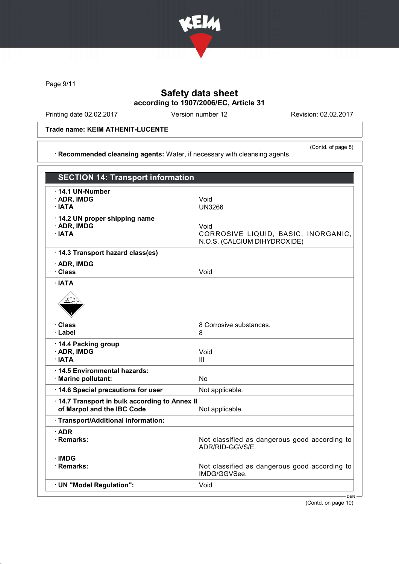

Page 9/11

## Safety data sheet according to 1907/2006/EC, Article 31

Printing date 02.02.2017 Version number 12 Revision: 02.02.2017

(Contd. of page 8)

Trade name: KEIM ATHENIT-LUCENTE

· Recommended cleansing agents: Water, if necessary with cleansing agents.

| <b>SECTION 14: Transport information</b>                                   |                                                                             |
|----------------------------------------------------------------------------|-----------------------------------------------------------------------------|
| $\cdot$ 14.1 UN-Number<br>· ADR, IMDG<br>· IATA                            | Void<br><b>UN3266</b>                                                       |
| 14.2 UN proper shipping name<br>· ADR, IMDG<br>· IATA                      | Void<br>CORROSIVE LIQUID, BASIC, INORGANIC,<br>N.O.S. (CALCIUM DIHYDROXIDE) |
| 14.3 Transport hazard class(es)<br>· ADR, IMDG<br>· Class                  | Void                                                                        |
| · IATA                                                                     |                                                                             |
| · Class<br>· Label                                                         | 8 Corrosive substances.<br>8                                                |
| 14.4 Packing group<br>· ADR, IMDG<br>· IATA                                | Void<br>Ш                                                                   |
| 14.5 Environmental hazards:<br>· Marine pollutant:                         | <b>No</b>                                                                   |
| 14.6 Special precautions for user                                          | Not applicable.                                                             |
| 14.7 Transport in bulk according to Annex II<br>of Marpol and the IBC Code | Not applicable.                                                             |
| · Transport/Additional information:                                        |                                                                             |
| $\cdot$ ADR<br>· Remarks:                                                  | Not classified as dangerous good according to<br>ADR/RID-GGVS/E.            |
| · IMDG<br>· Remarks:                                                       | Not classified as dangerous good according to<br>IMDG/GGVSee.               |
| · UN "Model Regulation":                                                   | Void                                                                        |
|                                                                            | $DFN -$                                                                     |

(Contd. on page 10)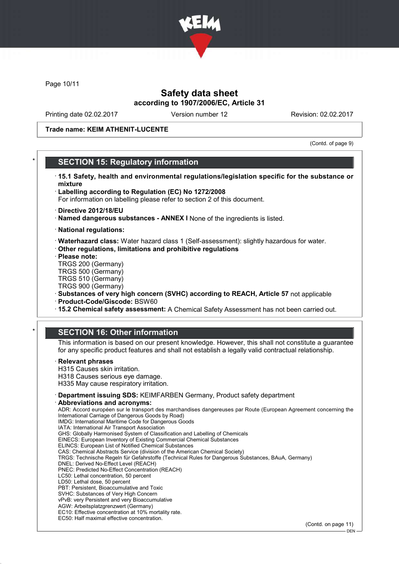

Page 10/11

## Safety data sheet according to 1907/2006/EC, Article 31

Printing date 02.02.2017 Version number 12 Revision: 02.02.2017

Trade name: KEIM ATHENIT-LUCENTE

(Contd. of page 9)

### **SECTION 15: Regulatory information**

- · 15.1 Safety, health and environmental regulations/legislation specific for the substance or mixture
- · Labelling according to Regulation (EC) No 1272/2008
- For information on labelling please refer to section 2 of this document.
- · Directive 2012/18/EU
- · Named dangerous substances ANNEX I None of the ingredients is listed.
- · National regulations:
- · Waterhazard class: Water hazard class 1 (Self-assessment): slightly hazardous for water.
- · Other regulations, limitations and prohibitive regulations
- · Please note:
- TRGS 200 (Germany) TRGS 500 (Germany)
- TRGS 510 (Germany)
- TRGS 900 (Germany)
- · Substances of very high concern (SVHC) according to REACH, Article 57 not applicable
- · Product-Code/Giscode: BSW60
- · 15.2 Chemical safety assessment: A Chemical Safety Assessment has not been carried out.

## **SECTION 16: Other information**

This information is based on our present knowledge. However, this shall not constitute a guarantee for any specific product features and shall not establish a legally valid contractual relationship.

#### **Relevant phrases**

- H315 Causes skin irritation. H318 Causes serious eye damage.
- H335 May cause respiratory irritation.
- · Department issuing SDS: KEIMFARBEN Germany, Product safety department

#### Abbreviations and acronyms:

ADR: Accord européen sur le transport des marchandises dangereuses par Route (European Agreement concerning the International Carriage of Dangerous Goods by Road) IMDG: International Maritime Code for Dangerous Goods IATA: International Air Transport Association GHS: Globally Harmonised System of Classification and Labelling of Chemicals EINECS: European Inventory of Existing Commercial Chemical Substances ELINCS: European List of Notified Chemical Substances CAS: Chemical Abstracts Service (division of the American Chemical Society) TRGS: Technische Regeln für Gefahrstoffe (Technical Rules for Dangerous Substances, BAuA, Germany) DNEL: Derived No-Effect Level (REACH) PNEC: Predicted No-Effect Concentration (REACH) LC50: Lethal concentration, 50 percent LD50: Lethal dose, 50 percent PBT: Persistent, Bioaccumulative and Toxic SVHC: Substances of Very High Concern vPvB: very Persistent and very Bioaccumulative AGW: Arbeitsplatzgrenzwert (Germany) EC10: Effective concentration at 10% mortality rate. EC50: Half maximal effective concentration. (Contd. on page 11)